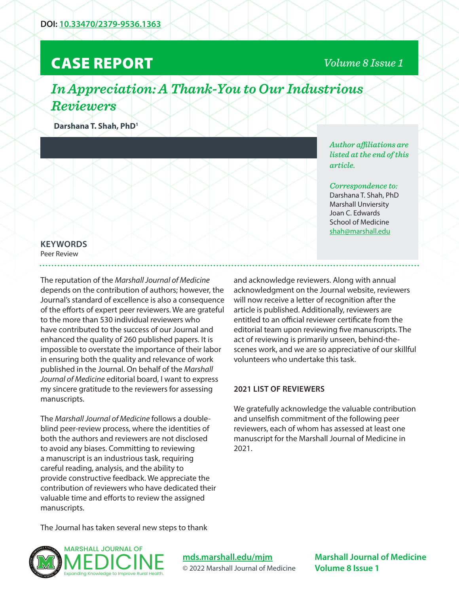# CASE REPORT

### *Volume 8 Issue 1*

# *In Appreciation: A Thank-You to Our Industrious Reviewers*

**Darshana T. Shah, PhD1**

*Author affiliations are listed at the end of this article.* 

### *Correspondence to:*  Darshana T. Shah, PhD Marshall Unviersity

Joan C. Edwards School of Medicine shah@marshall.edu

## **KEYWORDS**

Peer Review

The reputation of the *Marshall Journal of Medicine*  depends on the contribution of authors; however, the Journal's standard of excellence is also a consequence of the efforts of expert peer reviewers. We are grateful to the more than 530 individual reviewers who have contributed to the success of our Journal and enhanced the quality of 260 published papers. It is impossible to overstate the importance of their labor in ensuring both the quality and relevance of work published in the Journal. On behalf of the *Marshall Journal of Medicine* editorial board, I want to express my sincere gratitude to the reviewers for assessing manuscripts.

The *Marshall Journal of Medicine* follows a doubleblind peer-review process, where the identities of both the authors and reviewers are not disclosed to avoid any biases. Committing to reviewing a manuscript is an industrious task, requiring careful reading, analysis, and the ability to provide constructive feedback. We appreciate the contribution of reviewers who have dedicated their valuable time and efforts to review the assigned manuscripts.

and acknowledge reviewers. Along with annual acknowledgment on the Journal website, reviewers will now receive a letter of recognition after the article is published. Additionally, reviewers are entitled to an official reviewer certificate from the editorial team upon reviewing five manuscripts. The act of reviewing is primarily unseen, behind-thescenes work, and we are so appreciative of our skillful volunteers who undertake this task.

#### **2021 LIST OF REVIEWERS**

We gratefully acknowledge the valuable contribution and unselfish commitment of the following peer reviewers, each of whom has assessed at least one manuscript for the Marshall Journal of Medicine in 2021.

The Journal has taken several new steps to thank



**mds.marshall.edu/mjm** © 2022 Marshall Journal of Medicine

**Marshall Journal of Medicine Volume 8 Issue 1**